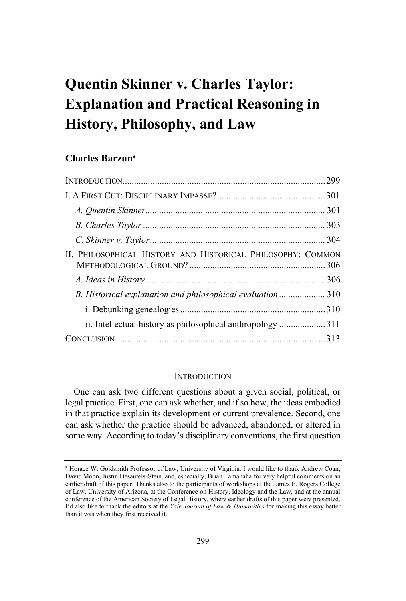# **Quentin Skinner v. Charles Taylor: Explanation and Practical Reasoning in History, Philosophy, and Law**

# **Charles Barzun**

| II. PHILOSOPHICAL HISTORY AND HISTORICAL PHILOSOPHY: COMMON |  |
|-------------------------------------------------------------|--|
|                                                             |  |
| B. Historical explanation and philosophical evaluation310   |  |
|                                                             |  |
| ii. Intellectual history as philosophical anthropology 311  |  |
|                                                             |  |

## **INTRODUCTION**

One can ask two different questions about a given social, political, or legal practice. First, one can ask whether, and if so how, the ideas embodied in that practice explain its development or current prevalence. Second, one can ask whether the practice should be advanced, abandoned, or altered in some way. According to today's disciplinary conventions, the first question

 Horace W. Goldsmith Professor of Law, University of Virginia. I would like to thank Andrew Coan, David Moon, Justin Desautels-Stein, and, especially, Brian Tamanaha for very helpful comments on an earlier draft of this paper. Thanks also to the participants of workshops at the James E. Rogers College of Law, University of Arizona, at the Conference on History, Ideology and the Law, and at the annual conference of the American Society of Legal History, where earlier drafts of this paper were presented. I'd also like to thank the editors at the *Yale Journal of Law & Humanities* for making this essay better than it was when they first received it.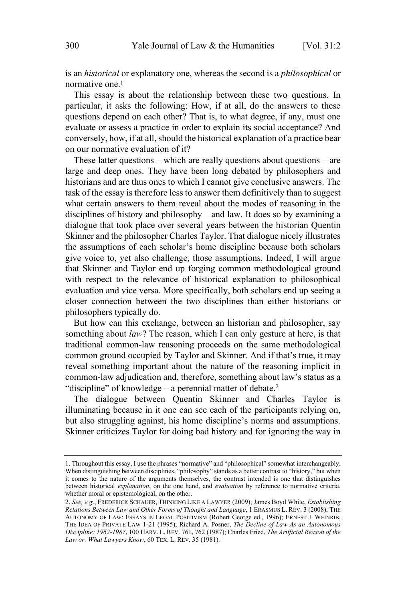is an *historical* or explanatory one, whereas the second is a *philosophical* or normative one.<sup>1</sup>

This essay is about the relationship between these two questions. In particular, it asks the following: How, if at all, do the answers to these questions depend on each other? That is, to what degree, if any, must one evaluate or assess a practice in order to explain its social acceptance? And conversely, how, if at all, should the historical explanation of a practice bear on our normative evaluation of it?

These latter questions – which are really questions about questions – are large and deep ones. They have been long debated by philosophers and historians and are thus ones to which I cannot give conclusive answers. The task of the essay is therefore less to answer them definitively than to suggest what certain answers to them reveal about the modes of reasoning in the disciplines of history and philosophy—and law. It does so by examining a dialogue that took place over several years between the historian Quentin Skinner and the philosopher Charles Taylor. That dialogue nicely illustrates the assumptions of each scholar's home discipline because both scholars give voice to, yet also challenge, those assumptions. Indeed, I will argue that Skinner and Taylor end up forging common methodological ground with respect to the relevance of historical explanation to philosophical evaluation and vice versa. More specifically, both scholars end up seeing a closer connection between the two disciplines than either historians or philosophers typically do.

But how can this exchange, between an historian and philosopher, say something about *law*? The reason, which I can only gesture at here, is that traditional common-law reasoning proceeds on the same methodological common ground occupied by Taylor and Skinner. And if that's true, it may reveal something important about the nature of the reasoning implicit in common-law adjudication and, therefore, something about law's status as a "discipline" of knowledge – a perennial matter of debate. 2

The dialogue between Quentin Skinner and Charles Taylor is illuminating because in it one can see each of the participants relying on, but also struggling against, his home discipline's norms and assumptions. Skinner criticizes Taylor for doing bad history and for ignoring the way in

<sup>1.</sup> Throughout this essay, I use the phrases "normative" and "philosophical" somewhat interchangeably. When distinguishing between disciplines, "philosophy" stands as a better contrast to "history," but when it comes to the nature of the arguments themselves, the contrast intended is one that distinguishes between historical *explanation*, on the one hand, and *evaluation* by reference to normative criteria, whether moral or epistemological, on the other.

<sup>2.</sup> *See, e.g*., FREDERICK SCHAUER, THINKING LIKE <sup>A</sup> LAWYER (2009); James Boyd White, *Establishing Relations Between Law and Other Forms of Thought and Language*, 1 ERASMUS L. REV. 3 (2008); THE AUTONOMY OF LAW: ESSAYS IN LEGAL POSITIVISM (Robert George ed., 1996); ERNEST J. WEINRIB, THE IDEA OF PRIVATE LAW 1-21 (1995); Richard A. Posner, *The Decline of Law As an Autonomous Discipline: 1962-1987*, 100 HARV. L. REV. 761, 762 (1987); Charles Fried, *The Artificial Reason of the Law or: What Lawyers Know*, 60 TEX. L. REV. 35 (1981).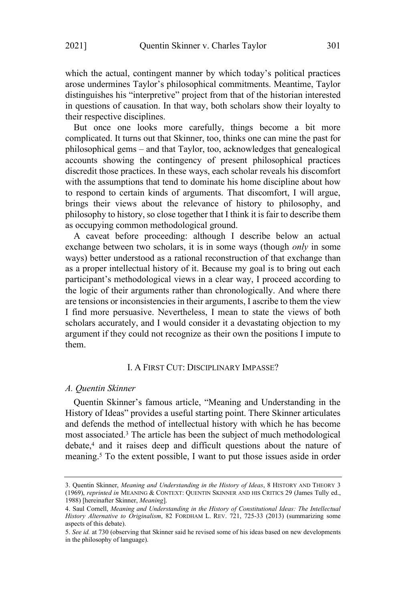which the actual, contingent manner by which today's political practices arose undermines Taylor's philosophical commitments. Meantime, Taylor distinguishes his "interpretive" project from that of the historian interested in questions of causation. In that way, both scholars show their loyalty to their respective disciplines.

But once one looks more carefully, things become a bit more complicated. It turns out that Skinner, too, thinks one can mine the past for philosophical gems – and that Taylor, too, acknowledges that genealogical accounts showing the contingency of present philosophical practices discredit those practices. In these ways, each scholar reveals his discomfort with the assumptions that tend to dominate his home discipline about how to respond to certain kinds of arguments. That discomfort, I will argue, brings their views about the relevance of history to philosophy, and philosophy to history, so close together that I think it is fair to describe them as occupying common methodological ground.

A caveat before proceeding: although I describe below an actual exchange between two scholars, it is in some ways (though *only* in some ways) better understood as a rational reconstruction of that exchange than as a proper intellectual history of it. Because my goal is to bring out each participant's methodological views in a clear way, I proceed according to the logic of their arguments rather than chronologically. And where there are tensions or inconsistencies in their arguments, I ascribe to them the view I find more persuasive. Nevertheless, I mean to state the views of both scholars accurately, and I would consider it a devastating objection to my argument if they could not recognize as their own the positions I impute to them.

# I. A FIRST CUT: DISCIPLINARY IMPASSE?

## *A. Quentin Skinner*

Quentin Skinner's famous article, "Meaning and Understanding in the History of Ideas" provides a useful starting point. There Skinner articulates and defends the method of intellectual history with which he has become most associated.<sup>3</sup> The article has been the subject of much methodological debate, <sup>4</sup> and it raises deep and difficult questions about the nature of meaning.<sup>5</sup> To the extent possible, I want to put those issues aside in order

<sup>3.</sup> Quentin Skinner, *Meaning and Understanding in the History of Ideas*, 8 HISTORY AND THEORY 3 (1969), *reprinted in* MEANING & CONTEXT: QUENTIN SKINNER AND HIS CRITICS 29 (James Tully ed., 1988) [hereinafter Skinner, *Meaning*].

<sup>4.</sup> Saul Cornell, *Meaning and Understanding in the History of Constitutional Ideas: The Intellectual History Alternative to Originalism*, 82 FORDHAM L. REV. 721, 725-33 (2013) (summarizing some aspects of this debate).

<sup>5.</sup> *See id.* at 730 (observing that Skinner said he revised some of his ideas based on new developments in the philosophy of language).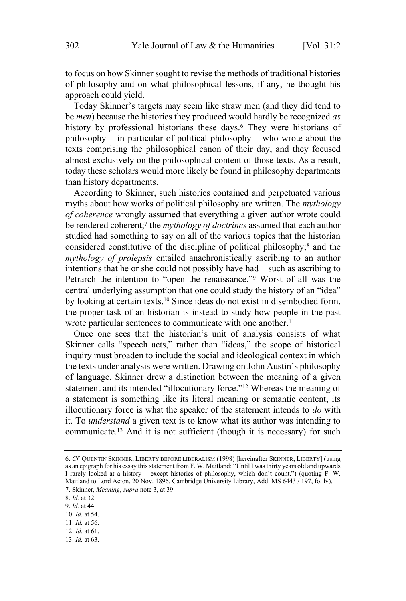to focus on how Skinner sought to revise the methods of traditional histories of philosophy and on what philosophical lessons, if any, he thought his approach could yield.

Today Skinner's targets may seem like straw men (and they did tend to be *men*) because the histories they produced would hardly be recognized *as* history by professional historians these days.<sup>6</sup> They were historians of philosophy – in particular of political philosophy – who wrote about the texts comprising the philosophical canon of their day, and they focused almost exclusively on the philosophical content of those texts. As a result, today these scholars would more likely be found in philosophy departments than history departments.

According to Skinner, such histories contained and perpetuated various myths about how works of political philosophy are written. The *mythology of coherence* wrongly assumed that everything a given author wrote could be rendered coherent; 7 the *mythology of doctrines* assumed that each author studied had something to say on all of the various topics that the historian considered constitutive of the discipline of political philosophy; <sup>8</sup> and the *mythology of prolepsis* entailed anachronistically ascribing to an author intentions that he or she could not possibly have had – such as ascribing to Petrarch the intention to "open the renaissance."<sup>9</sup> Worst of all was the central underlying assumption that one could study the history of an "idea" by looking at certain texts.<sup>10</sup> Since ideas do not exist in disembodied form, the proper task of an historian is instead to study how people in the past wrote particular sentences to communicate with one another.<sup>11</sup>

Once one sees that the historian's unit of analysis consists of what Skinner calls "speech acts," rather than "ideas," the scope of historical inquiry must broaden to include the social and ideological context in which the texts under analysis were written. Drawing on John Austin's philosophy of language, Skinner drew a distinction between the meaning of a given statement and its intended "illocutionary force."<sup>12</sup> Whereas the meaning of a statement is something like its literal meaning or semantic content, its illocutionary force is what the speaker of the statement intends to *do* with it. To *understand* a given text is to know what its author was intending to communicate. <sup>13</sup> And it is not sufficient (though it is necessary) for such

- 11. *Id.* at 56.
- 12. *Id.* at 61.
- 13. *Id.* at 63.

<sup>6.</sup> *Cf.* QUENTIN SKINNER, LIBERTY BEFORE LIBERALISM (1998) [hereinafter SKINNER, LIBERTY] (using as an epigraph for his essay this statement from F. W. Maitland: "Until I was thirty years old and upwards I rarely looked at a history – except histories of philosophy, which don't count.") (quoting F. W. Maitland to Lord Acton, 20 Nov. 1896, Cambridge University Library, Add. MS 6443 / 197, fo. lv). 7. Skinner, *Meaning*, *supra* note 3, at 39.

<sup>8.</sup> *Id.* at 32.

<sup>9.</sup> *Id.* at 44.

<sup>10.</sup> *Id.* at 54.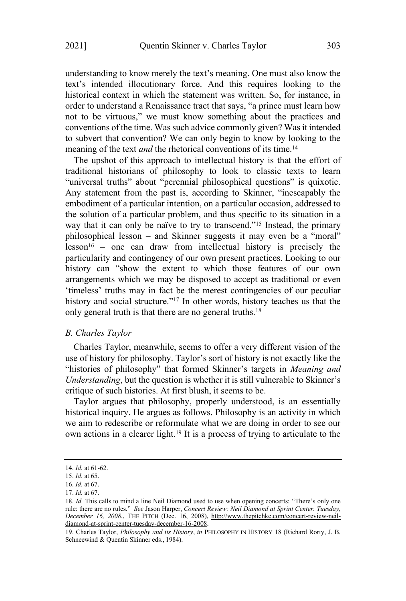understanding to know merely the text's meaning. One must also know the text's intended illocutionary force. And this requires looking to the historical context in which the statement was written. So, for instance, in order to understand a Renaissance tract that says, "a prince must learn how not to be virtuous," we must know something about the practices and conventions of the time. Was such advice commonly given? Was it intended to subvert that convention? We can only begin to know by looking to the meaning of the text *and* the rhetorical conventions of its time. 14

The upshot of this approach to intellectual history is that the effort of traditional historians of philosophy to look to classic texts to learn "universal truths" about "perennial philosophical questions" is quixotic. Any statement from the past is, according to Skinner, "inescapably the embodiment of a particular intention, on a particular occasion, addressed to the solution of a particular problem, and thus specific to its situation in a way that it can only be naïve to try to transcend."<sup>15</sup> Instead, the primary philosophical lesson – and Skinner suggests it may even be a "moral"  $lesson<sup>16</sup>$  – one can draw from intellectual history is precisely the particularity and contingency of our own present practices. Looking to our history can "show the extent to which those features of our own arrangements which we may be disposed to accept as traditional or even 'timeless' truths may in fact be the merest contingencies of our peculiar history and social structure."<sup>17</sup> In other words, history teaches us that the only general truth is that there are no general truths.<sup>18</sup>

## *B. Charles Taylor*

Charles Taylor, meanwhile, seems to offer a very different vision of the use of history for philosophy. Taylor's sort of history is not exactly like the "histories of philosophy" that formed Skinner's targets in *Meaning and Understanding*, but the question is whether it is still vulnerable to Skinner's critique of such histories. At first blush, it seems to be.

Taylor argues that philosophy, properly understood, is an essentially historical inquiry. He argues as follows. Philosophy is an activity in which we aim to redescribe or reformulate what we are doing in order to see our own actions in a clearer light.<sup>19</sup> It is a process of trying to articulate to the

<sup>14.</sup> *Id.* at 61-62.

<sup>15.</sup> *Id.* at 65.

<sup>16.</sup> *Id.* at 67.

<sup>17.</sup> *Id.* at 67.

<sup>18</sup>*. Id.* This calls to mind a line Neil Diamond used to use when opening concerts: "There's only one rule: there are no rules." *See* Jason Harper, *Concert Review: Neil Diamond at Sprint Center. Tuesday, December 16, 2008.*, THE PITCH (Dec. 16, 2008), http://www.thepitchkc.com/concert-review-neildiamond-at-sprint-center-tuesday-december-16-2008.

<sup>19.</sup> Charles Taylor, *Philosophy and its History*, *in* PHILOSOPHY IN HISTORY 18 (Richard Rorty, J. B. Schneewind & Quentin Skinner eds., 1984).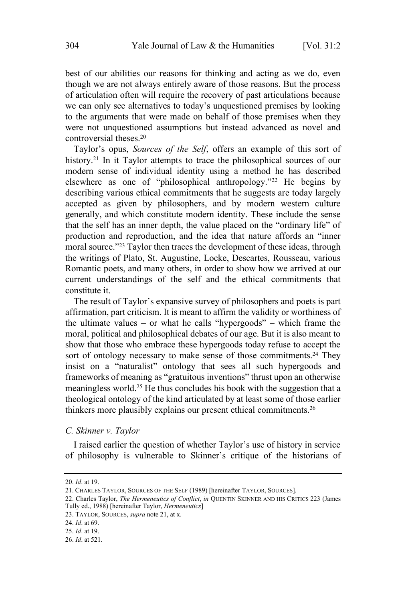best of our abilities our reasons for thinking and acting as we do, even though we are not always entirely aware of those reasons. But the process of articulation often will require the recovery of past articulations because we can only see alternatives to today's unquestioned premises by looking to the arguments that were made on behalf of those premises when they were not unquestioned assumptions but instead advanced as novel and controversial theses. 20

Taylor's opus, *Sources of the Self*, offers an example of this sort of history.<sup>21</sup> In it Taylor attempts to trace the philosophical sources of our modern sense of individual identity using a method he has described elsewhere as one of "philosophical anthropology." <sup>22</sup> He begins by describing various ethical commitments that he suggests are today largely accepted as given by philosophers, and by modern western culture generally, and which constitute modern identity. These include the sense that the self has an inner depth, the value placed on the "ordinary life" of production and reproduction, and the idea that nature affords an "inner moral source."<sup>23</sup> Taylor then traces the development of these ideas, through the writings of Plato, St. Augustine, Locke, Descartes, Rousseau, various Romantic poets, and many others, in order to show how we arrived at our current understandings of the self and the ethical commitments that constitute it.

The result of Taylor's expansive survey of philosophers and poets is part affirmation, part criticism. It is meant to affirm the validity or worthiness of the ultimate values – or what he calls "hypergoods" – which frame the moral, political and philosophical debates of our age. But it is also meant to show that those who embrace these hypergoods today refuse to accept the sort of ontology necessary to make sense of those commitments.<sup>24</sup> They insist on a "naturalist" ontology that sees all such hypergoods and frameworks of meaning as "gratuitous inventions" thrust upon an otherwise meaningless world.<sup>25</sup> He thus concludes his book with the suggestion that a theological ontology of the kind articulated by at least some of those earlier thinkers more plausibly explains our present ethical commitments.<sup>26</sup>

## *C. Skinner v. Taylor*

I raised earlier the question of whether Taylor's use of history in service of philosophy is vulnerable to Skinner's critique of the historians of

<sup>20.</sup> *Id*. at 19.

<sup>21.</sup> CHARLES TAYLOR, SOURCES OF THE SELF (1989) [hereinafter TAYLOR, SOURCES].

<sup>22.</sup> Charles Taylor, *The Hermeneutics of Conflict*, *in* QUENTIN SKINNER AND HIS CRITICS 223 (James Tully ed., 1988) [hereinafter Taylor, *Hermeneutics*]

<sup>23.</sup> TAYLOR, SOURCES, *supra* note 21, at x.

<sup>24.</sup> *Id*. at 69.

<sup>25.</sup> *Id*. at 19.

<sup>26.</sup> *Id*. at 521.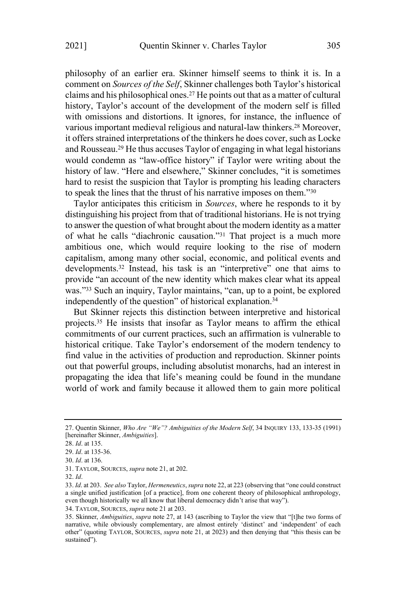philosophy of an earlier era. Skinner himself seems to think it is. In a comment on *Sources of the Self*, Skinner challenges both Taylor's historical claims and his philosophical ones.<sup>27</sup> He points out that as a matter of cultural history, Taylor's account of the development of the modern self is filled with omissions and distortions. It ignores, for instance, the influence of various important medieval religious and natural-law thinkers. <sup>28</sup> Moreover, it offers strained interpretations of the thinkers he does cover, such as Locke and Rousseau.<sup>29</sup> He thus accuses Taylor of engaging in what legal historians would condemn as "law-office history" if Taylor were writing about the history of law. "Here and elsewhere," Skinner concludes, "it is sometimes hard to resist the suspicion that Taylor is prompting his leading characters to speak the lines that the thrust of his narrative imposes on them."<sup>30</sup>

Taylor anticipates this criticism in *Sources*, where he responds to it by distinguishing his project from that of traditional historians. He is not trying to answer the question of what brought about the modern identity as a matter of what he calls "diachronic causation."<sup>31</sup> That project is a much more ambitious one, which would require looking to the rise of modern capitalism, among many other social, economic, and political events and developments. <sup>32</sup> Instead, his task is an "interpretive" one that aims to provide "an account of the new identity which makes clear what its appeal was." <sup>33</sup> Such an inquiry, Taylor maintains, "can, up to a point, be explored independently of the question" of historical explanation.<sup>34</sup>

But Skinner rejects this distinction between interpretive and historical projects. <sup>35</sup> He insists that insofar as Taylor means to affirm the ethical commitments of our current practices, such an affirmation is vulnerable to historical critique. Take Taylor's endorsement of the modern tendency to find value in the activities of production and reproduction. Skinner points out that powerful groups, including absolutist monarchs, had an interest in propagating the idea that life's meaning could be found in the mundane world of work and family because it allowed them to gain more political

<sup>27.</sup> Quentin Skinner, *Who Are "We"? Ambiguities of the Modern Self*, 34 INQUIRY 133, 133-35 (1991) [hereinafter Skinner, *Ambiguities*].

<sup>28.</sup> *Id*. at 135.

<sup>29.</sup> *Id*. at 135-36.

<sup>30.</sup> *Id*. at 136.

<sup>31.</sup> TAYLOR, SOURCES, *supra* note 21, at 202.

<sup>32.</sup> *Id*.

<sup>33.</sup> *Id*. at 203. *See also* Taylor, *Hermeneutics*,*supra* note 22, at 223 (observing that "one could construct a single unified justification [of a practice], from one coherent theory of philosophical anthropology, even though historically we all know that liberal democracy didn't arise that way").

<sup>34.</sup> TAYLOR, SOURCES, *supra* note 21 at 203.

<sup>35.</sup> Skinner, *Ambiguities*, *supra* note 27, at 143 (ascribing to Taylor the view that "[t]he two forms of narrative, while obviously complementary, are almost entirely 'distinct' and 'independent' of each other" (quoting TAYLOR, SOURCES, *supra* note 21, at 2023) and then denying that "this thesis can be sustained").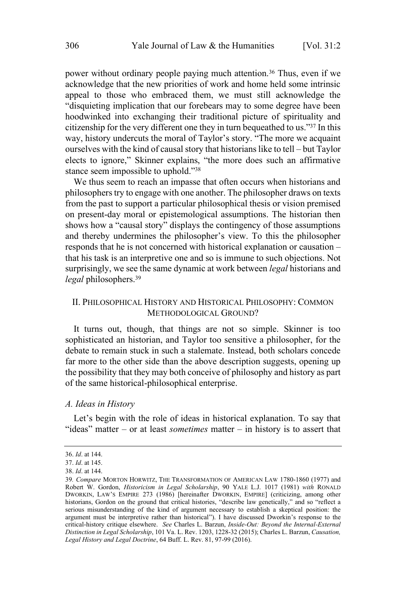power without ordinary people paying much attention.<sup>36</sup> Thus, even if we acknowledge that the new priorities of work and home held some intrinsic appeal to those who embraced them, we must still acknowledge the "disquieting implication that our forebears may to some degree have been hoodwinked into exchanging their traditional picture of spirituality and citizenship for the very different one they in turn bequeathed to us."<sup>37</sup> In this way, history undercuts the moral of Taylor's story. "The more we acquaint ourselves with the kind of causal story that historians like to tell – but Taylor elects to ignore," Skinner explains, "the more does such an affirmative stance seem impossible to uphold."<sup>38</sup>

We thus seem to reach an impasse that often occurs when historians and philosophers try to engage with one another. The philosopher draws on texts from the past to support a particular philosophical thesis or vision premised on present-day moral or epistemological assumptions. The historian then shows how a "causal story" displays the contingency of those assumptions and thereby undermines the philosopher's view. To this the philosopher responds that he is not concerned with historical explanation or causation – that his task is an interpretive one and so is immune to such objections. Not surprisingly, we see the same dynamic at work between *legal* historians and *legal* philosophers. 39

# II. PHILOSOPHICAL HISTORY AND HISTORICAL PHILOSOPHY: COMMON METHODOLOGICAL GROUND?

It turns out, though, that things are not so simple. Skinner is too sophisticated an historian, and Taylor too sensitive a philosopher, for the debate to remain stuck in such a stalemate. Instead, both scholars concede far more to the other side than the above description suggests, opening up the possibility that they may both conceive of philosophy and history as part of the same historical-philosophical enterprise.

### *A. Ideas in History*

Let's begin with the role of ideas in historical explanation. To say that "ideas" matter – or at least *sometimes* matter – in history is to assert that

<sup>36.</sup> *Id*. at 144.

<sup>37.</sup> *Id*. at 145.

<sup>38.</sup> *Id*. at 144.

<sup>39</sup>*. Compare* MORTON HORWITZ, THE TRANSFORMATION OF AMERICAN LAW 1780-1860 (1977) and Robert W. Gordon, *Historicism in Legal Scholarship*, 90 YALE L.J. 1017 (1981) *with* RONALD DWORKIN, LAW'S EMPIRE 273 (1986) [hereinafter DWORKIN, EMPIRE] (criticizing, among other historians, Gordon on the ground that critical histories, "describe law genetically," and so "reflect a serious misunderstanding of the kind of argument necessary to establish a skeptical position: the argument must be interpretive rather than historical"). I have discussed Dworkin's response to the critical-history critique elsewhere. *See* Charles L. Barzun, *Inside-Out: Beyond the Internal-External Distinction in Legal Scholarship*, 101 Va. L. Rev. 1203, 1228-32 (2015); Charles L. Barzun, *Causation, Legal History and Legal Doctrine*, 64 Buff. L. Rev. 81, 97-99 (2016).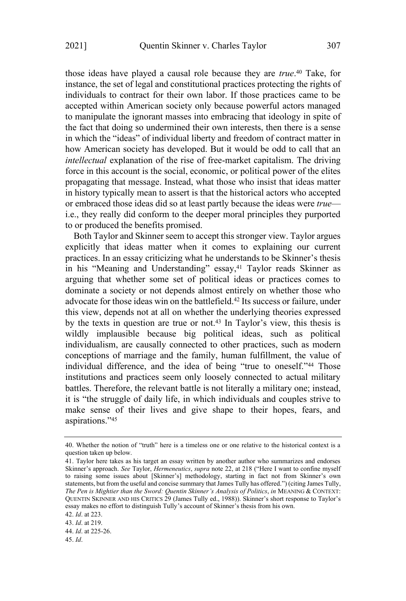those ideas have played a causal role because they are *true*. <sup>40</sup> Take, for instance, the set of legal and constitutional practices protecting the rights of individuals to contract for their own labor. If those practices came to be accepted within American society only because powerful actors managed to manipulate the ignorant masses into embracing that ideology in spite of the fact that doing so undermined their own interests, then there is a sense in which the "ideas" of individual liberty and freedom of contract matter in how American society has developed. But it would be odd to call that an *intellectual* explanation of the rise of free-market capitalism. The driving force in this account is the social, economic, or political power of the elites propagating that message. Instead, what those who insist that ideas matter in history typically mean to assert is that the historical actors who accepted or embraced those ideas did so at least partly because the ideas were *true* i.e., they really did conform to the deeper moral principles they purported to or produced the benefits promised.

Both Taylor and Skinner seem to accept this stronger view. Taylor argues explicitly that ideas matter when it comes to explaining our current practices. In an essay criticizing what he understands to be Skinner's thesis in his "Meaning and Understanding" essay, <sup>41</sup> Taylor reads Skinner as arguing that whether some set of political ideas or practices comes to dominate a society or not depends almost entirely on whether those who advocate for those ideas win on the battlefield.<sup>42</sup> Its success or failure, under this view, depends not at all on whether the underlying theories expressed by the texts in question are true or not.<sup>43</sup> In Taylor's view, this thesis is wildly implausible because big political ideas, such as political individualism, are causally connected to other practices, such as modern conceptions of marriage and the family, human fulfillment, the value of individual difference, and the idea of being "true to oneself." <sup>44</sup> Those institutions and practices seem only loosely connected to actual military battles. Therefore, the relevant battle is not literally a military one; instead, it is "the struggle of daily life, in which individuals and couples strive to make sense of their lives and give shape to their hopes, fears, and aspirations."<sup>45</sup>

<sup>40.</sup> Whether the notion of "truth" here is a timeless one or one relative to the historical context is a question taken up below.

<sup>41.</sup> Taylor here takes as his target an essay written by another author who summarizes and endorses Skinner's approach. *See* Taylor, *Hermeneutics*, *supra* note 22, at 218 ("Here I want to confine myself to raising some issues about [Skinner's] methodology, starting in fact not from Skinner's own statements, but from the useful and concise summary that James Tully has offered.") (citing James Tully, *The Pen is Mightier than the Sword: Quentin Skinner's Analysis of Politics*, *in* MEANING & CONTEXT: QUENTIN SKINNER AND HIS CRITICS 29 (James Tully ed., 1988)). Skinner's short response to Taylor's essay makes no effort to distinguish Tully's account of Skinner's thesis from his own.

<sup>42.</sup> *Id*. at 223.

<sup>43.</sup> *Id*. at 219.

<sup>44.</sup> *Id*. at 225-26.

<sup>45.</sup> *Id*.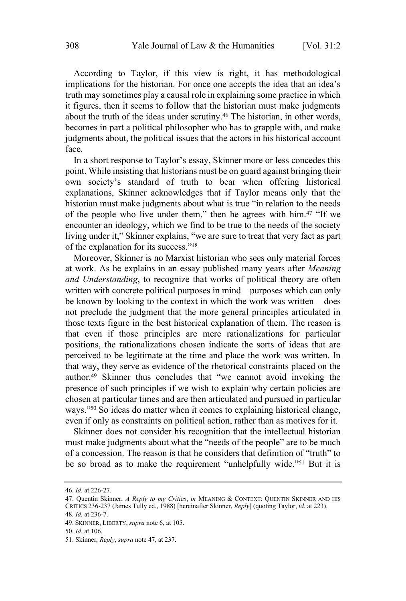According to Taylor, if this view is right, it has methodological implications for the historian. For once one accepts the idea that an idea's truth may sometimes play a causal role in explaining some practice in which it figures, then it seems to follow that the historian must make judgments about the truth of the ideas under scrutiny.<sup>46</sup> The historian, in other words, becomes in part a political philosopher who has to grapple with, and make judgments about, the political issues that the actors in his historical account face.

In a short response to Taylor's essay, Skinner more or less concedes this point. While insisting that historians must be on guard against bringing their own society's standard of truth to bear when offering historical explanations, Skinner acknowledges that if Taylor means only that the historian must make judgments about what is true "in relation to the needs of the people who live under them," then he agrees with him.<sup>47</sup> "If we encounter an ideology, which we find to be true to the needs of the society living under it," Skinner explains, "we are sure to treat that very fact as part of the explanation for its success."<sup>48</sup>

Moreover, Skinner is no Marxist historian who sees only material forces at work. As he explains in an essay published many years after *Meaning and Understanding*, to recognize that works of political theory are often written with concrete political purposes in mind – purposes which can only be known by looking to the context in which the work was written – does not preclude the judgment that the more general principles articulated in those texts figure in the best historical explanation of them. The reason is that even if those principles are mere rationalizations for particular positions, the rationalizations chosen indicate the sorts of ideas that are perceived to be legitimate at the time and place the work was written. In that way, they serve as evidence of the rhetorical constraints placed on the author.<sup>49</sup> Skinner thus concludes that "we cannot avoid invoking the presence of such principles if we wish to explain why certain policies are chosen at particular times and are then articulated and pursued in particular ways."<sup>50</sup> So ideas do matter when it comes to explaining historical change, even if only as constraints on political action, rather than as motives for it.

Skinner does not consider his recognition that the intellectual historian must make judgments about what the "needs of the people" are to be much of a concession. The reason is that he considers that definition of "truth" to be so broad as to make the requirement "unhelpfully wide."<sup>51</sup> But it is

<sup>46.</sup> *Id.* at 226-27.

<sup>47.</sup> Quentin Skinner, *A Reply to my Critics*, *in* MEANING & CONTEXT: QUENTIN SKINNER AND HIS CRITICS 236-237 (James Tully ed., 1988) [hereinafter Skinner, *Reply*] (quoting Taylor, *id.* at 223). 48*. Id.* at 236-7.

<sup>49.</sup> SKINNER, LIBERTY, *supra* note 6, at 105.

<sup>50.</sup> *Id.* at 106.

<sup>51.</sup> Skinner, *Reply*, *supra* note 47, at 237.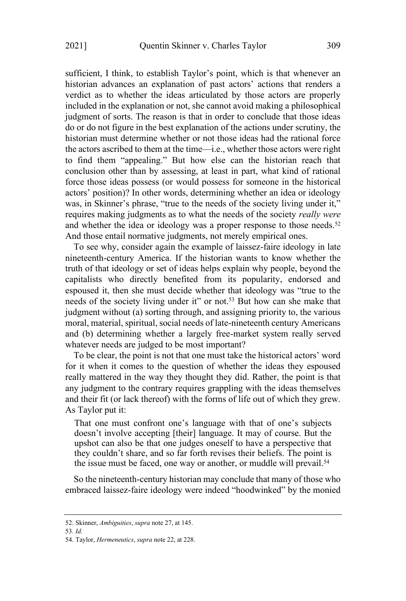sufficient, I think, to establish Taylor's point, which is that whenever an historian advances an explanation of past actors' actions that renders a verdict as to whether the ideas articulated by those actors are properly included in the explanation or not, she cannot avoid making a philosophical judgment of sorts. The reason is that in order to conclude that those ideas do or do not figure in the best explanation of the actions under scrutiny, the historian must determine whether or not those ideas had the rational force the actors ascribed to them at the time—i.e., whether those actors were right to find them "appealing." But how else can the historian reach that conclusion other than by assessing, at least in part, what kind of rational force those ideas possess (or would possess for someone in the historical actors' position)? In other words, determining whether an idea or ideology was, in Skinner's phrase, "true to the needs of the society living under it," requires making judgments as to what the needs of the society *really were* and whether the idea or ideology was a proper response to those needs.<sup>52</sup> And those entail normative judgments, not merely empirical ones.

To see why, consider again the example of laissez-faire ideology in late nineteenth-century America. If the historian wants to know whether the truth of that ideology or set of ideas helps explain why people, beyond the capitalists who directly benefited from its popularity, endorsed and espoused it, then she must decide whether that ideology was "true to the needs of the society living under it" or not.<sup>53</sup> But how can she make that judgment without (a) sorting through, and assigning priority to, the various moral, material, spiritual, social needs of late-nineteenth century Americans and (b) determining whether a largely free-market system really served whatever needs are judged to be most important?

To be clear, the point is not that one must take the historical actors' word for it when it comes to the question of whether the ideas they espoused really mattered in the way they thought they did. Rather, the point is that any judgment to the contrary requires grappling with the ideas themselves and their fit (or lack thereof) with the forms of life out of which they grew. As Taylor put it:

That one must confront one's language with that of one's subjects doesn't involve accepting [their] language. It may of course. But the upshot can also be that one judges oneself to have a perspective that they couldn't share, and so far forth revises their beliefs. The point is the issue must be faced, one way or another, or muddle will prevail.<sup>54</sup>

So the nineteenth-century historian may conclude that many of those who embraced laissez-faire ideology were indeed "hoodwinked" by the monied

53*. Id.*

<sup>52.</sup> Skinner, *Ambiguities*, *supra* note 27, at 145.

<sup>54.</sup> Taylor, *Hermeneutics*, *supra* note 22, at 228.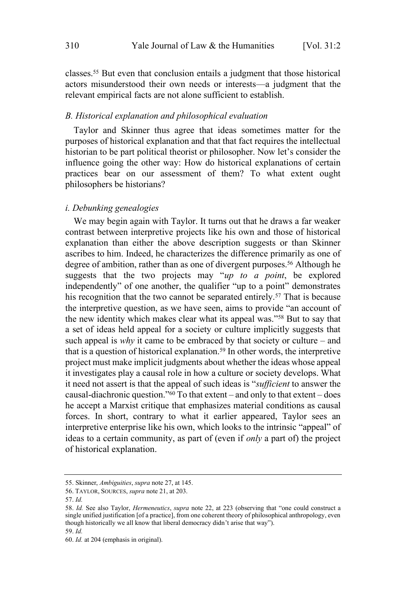classes.<sup>55</sup> But even that conclusion entails a judgment that those historical actors misunderstood their own needs or interests—a judgment that the relevant empirical facts are not alone sufficient to establish.

# *B. Historical explanation and philosophical evaluation*

Taylor and Skinner thus agree that ideas sometimes matter for the purposes of historical explanation and that that fact requires the intellectual historian to be part political theorist or philosopher. Now let's consider the influence going the other way: How do historical explanations of certain practices bear on our assessment of them? To what extent ought philosophers be historians?

# *i. Debunking genealogies*

We may begin again with Taylor. It turns out that he draws a far weaker contrast between interpretive projects like his own and those of historical explanation than either the above description suggests or than Skinner ascribes to him. Indeed, he characterizes the difference primarily as one of degree of ambition, rather than as one of divergent purposes.<sup>56</sup> Although he suggests that the two projects may "*up to a point*, be explored independently" of one another, the qualifier "up to a point" demonstrates his recognition that the two cannot be separated entirely.<sup>57</sup> That is because the interpretive question, as we have seen, aims to provide "an account of the new identity which makes clear what its appeal was."<sup>58</sup> But to say that a set of ideas held appeal for a society or culture implicitly suggests that such appeal is *why* it came to be embraced by that society or culture – and that is a question of historical explanation.<sup>59</sup> In other words, the interpretive project must make implicit judgments about whether the ideas whose appeal it investigates play a causal role in how a culture or society develops. What it need not assert is that the appeal of such ideas is "*sufficient* to answer the causal-diachronic question." $\overline{60}$  To that extent – and only to that extent – does he accept a Marxist critique that emphasizes material conditions as causal forces. In short, contrary to what it earlier appeared, Taylor sees an interpretive enterprise like his own, which looks to the intrinsic "appeal" of ideas to a certain community, as part of (even if *only* a part of) the project of historical explanation.

<sup>55.</sup> Skinner, *Ambiguities*, *supra* note 27, at 145.

<sup>56.</sup> TAYLOR, SOURCES, *supra* note 21, at 203.

<sup>57.</sup> *Id.*

<sup>58.</sup> *Id.* See also Taylor, *Hermeneutics*, *supra* note 22, at 223 (observing that "one could construct a single unified justification [of a practice], from one coherent theory of philosophical anthropology, even though historically we all know that liberal democracy didn't arise that way"). 59. *Id.*

<sup>60.</sup> *Id.* at 204 (emphasis in original).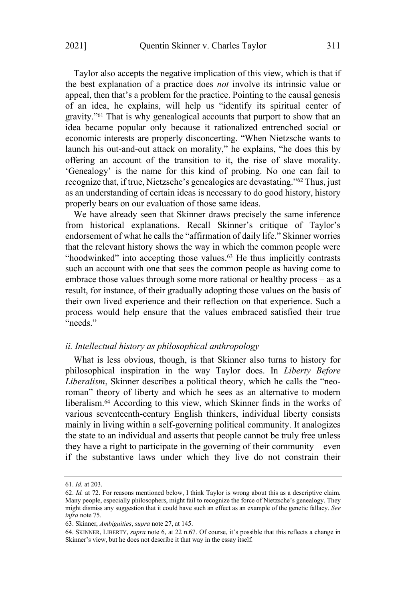Taylor also accepts the negative implication of this view, which is that if the best explanation of a practice does *not* involve its intrinsic value or appeal, then that's a problem for the practice. Pointing to the causal genesis of an idea, he explains, will help us "identify its spiritual center of gravity."<sup>61</sup> That is why genealogical accounts that purport to show that an idea became popular only because it rationalized entrenched social or economic interests are properly disconcerting. "When Nietzsche wants to launch his out-and-out attack on morality," he explains, "he does this by offering an account of the transition to it, the rise of slave morality. 'Genealogy' is the name for this kind of probing. No one can fail to recognize that, if true, Nietzsche's genealogies are devastating."<sup>62</sup> Thus, just as an understanding of certain ideas is necessary to do good history, history properly bears on our evaluation of those same ideas.

We have already seen that Skinner draws precisely the same inference from historical explanations. Recall Skinner's critique of Taylor's endorsement of what he calls the "affirmation of daily life." Skinner worries that the relevant history shows the way in which the common people were "hoodwinked" into accepting those values. <sup>63</sup> He thus implicitly contrasts such an account with one that sees the common people as having come to embrace those values through some more rational or healthy process – as a result, for instance, of their gradually adopting those values on the basis of their own lived experience and their reflection on that experience. Such a process would help ensure that the values embraced satisfied their true "needs."

## *ii. Intellectual history as philosophical anthropology*

What is less obvious, though, is that Skinner also turns to history for philosophical inspiration in the way Taylor does. In *Liberty Before Liberalism*, Skinner describes a political theory, which he calls the "neoroman" theory of liberty and which he sees as an alternative to modern liberalism.<sup>64</sup> According to this view, which Skinner finds in the works of various seventeenth-century English thinkers, individual liberty consists mainly in living within a self-governing political community. It analogizes the state to an individual and asserts that people cannot be truly free unless they have a right to participate in the governing of their community – even if the substantive laws under which they live do not constrain their

<sup>61.</sup> *Id.* at 203.

<sup>62.</sup> *Id.* at 72. For reasons mentioned below, I think Taylor is wrong about this as a descriptive claim. Many people, especially philosophers, might fail to recognize the force of Nietzsche's genealogy. They might dismiss any suggestion that it could have such an effect as an example of the genetic fallacy. *See infra* note 75.

<sup>63.</sup> Skinner, *Ambiguities*, *supra* note 27, at 145.

<sup>64.</sup> SKINNER, LIBERTY, *supra* note 6, at 22 n.67. Of course, it's possible that this reflects a change in Skinner's view, but he does not describe it that way in the essay itself.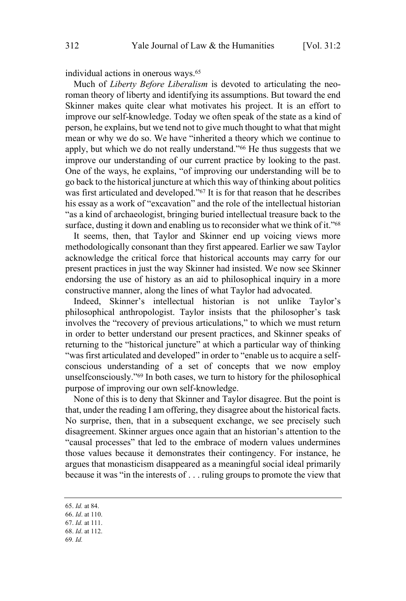individual actions in onerous ways.<sup>65</sup>

Much of *Liberty Before Liberalism* is devoted to articulating the neoroman theory of liberty and identifying its assumptions. But toward the end Skinner makes quite clear what motivates his project. It is an effort to improve our self-knowledge. Today we often speak of the state as a kind of person, he explains, but we tend not to give much thought to what that might mean or why we do so. We have "inherited a theory which we continue to apply, but which we do not really understand." <sup>66</sup> He thus suggests that we improve our understanding of our current practice by looking to the past. One of the ways, he explains, "of improving our understanding will be to go back to the historical juncture at which this way of thinking about politics was first articulated and developed."<sup>67</sup> It is for that reason that he describes his essay as a work of "excavation" and the role of the intellectual historian "as a kind of archaeologist, bringing buried intellectual treasure back to the surface, dusting it down and enabling us to reconsider what we think of it."<sup>68</sup>

It seems, then, that Taylor and Skinner end up voicing views more methodologically consonant than they first appeared. Earlier we saw Taylor acknowledge the critical force that historical accounts may carry for our present practices in just the way Skinner had insisted. We now see Skinner endorsing the use of history as an aid to philosophical inquiry in a more constructive manner, along the lines of what Taylor had advocated.

Indeed, Skinner's intellectual historian is not unlike Taylor's philosophical anthropologist. Taylor insists that the philosopher's task involves the "recovery of previous articulations," to which we must return in order to better understand our present practices, and Skinner speaks of returning to the "historical juncture" at which a particular way of thinking "was first articulated and developed" in order to "enable us to acquire a selfconscious understanding of a set of concepts that we now employ unselfconsciously."<sup>69</sup> In both cases, we turn to history for the philosophical purpose of improving our own self-knowledge.

None of this is to deny that Skinner and Taylor disagree. But the point is that, under the reading I am offering, they disagree about the historical facts. No surprise, then, that in a subsequent exchange, we see precisely such disagreement. Skinner argues once again that an historian's attention to the "causal processes" that led to the embrace of modern values undermines those values because it demonstrates their contingency. For instance, he argues that monasticism disappeared as a meaningful social ideal primarily because it was "in the interests of . . . ruling groups to promote the view that

69*. Id.*

<sup>65.</sup> *Id.* at 84.

<sup>66.</sup> *Id*. at 110.

<sup>67.</sup> *Id.* at 111.

<sup>68.</sup> *Id*. at 112.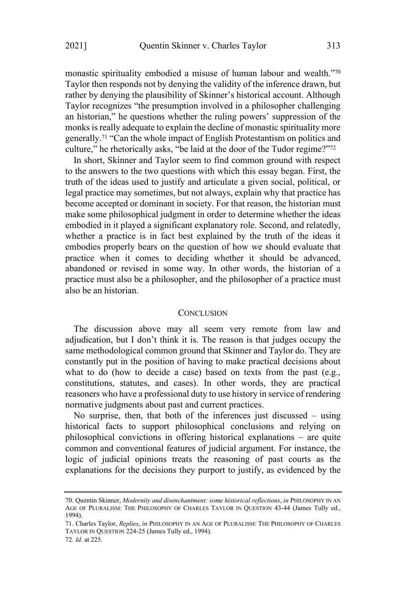monastic spirituality embodied a misuse of human labour and wealth."<sup>70</sup> Taylor then responds not by denying the validity of the inference drawn, but rather by denying the plausibility of Skinner's historical account. Although Taylor recognizes "the presumption involved in a philosopher challenging an historian," he questions whether the ruling powers' suppression of the monks is really adequate to explain the decline of monastic spirituality more generally.<sup>71</sup> "Can the whole impact of English Protestantism on politics and culture," he rhetorically asks, "be laid at the door of the Tudor regime?"<sup>72</sup>

In short, Skinner and Taylor seem to find common ground with respect to the answers to the two questions with which this essay began. First, the truth of the ideas used to justify and articulate a given social, political, or legal practice may sometimes, but not always, explain why that practice has become accepted or dominant in society. For that reason, the historian must make some philosophical judgment in order to determine whether the ideas embodied in it played a significant explanatory role. Second, and relatedly, whether a practice is in fact best explained by the truth of the ideas it embodies properly bears on the question of how we should evaluate that practice when it comes to deciding whether it should be advanced, abandoned or revised in some way. In other words, the historian of a practice must also be a philosopher, and the philosopher of a practice must also be an historian.

#### **CONCLUSION**

The discussion above may all seem very remote from law and adjudication, but I don't think it is. The reason is that judges occupy the same methodological common ground that Skinner and Taylor do. They are constantly put in the position of having to make practical decisions about what to do (how to decide a case) based on texts from the past (e.g., constitutions, statutes, and cases). In other words, they are practical reasoners who have a professional duty to use history in service of rendering normative judgments about past and current practices.

No surprise, then, that both of the inferences just discussed – using historical facts to support philosophical conclusions and relying on philosophical convictions in offering historical explanations – are quite common and conventional features of judicial argument. For instance, the logic of judicial opinions treats the reasoning of past courts as the explanations for the decisions they purport to justify, as evidenced by the

<sup>70.</sup> Quentin Skinner, *Modernity and disenchantment: some historical reflections*, *in* PHILOSOPHY IN AN AGE OF PLURALISM: THE PHILOSOPHY OF CHARLES TAYLOR IN QUESTION 43-44 (James Tully ed., 1994).

<sup>71.</sup> Charles Taylor, *Replies*, *in* PHILOSOPHY IN AN AGE OF PLURALISM: THE PHILOSOPHY OF CHARLES TAYLOR IN QUESTION 224-25 (James Tully ed., 1994).

<sup>72</sup>*. Id.* at 225.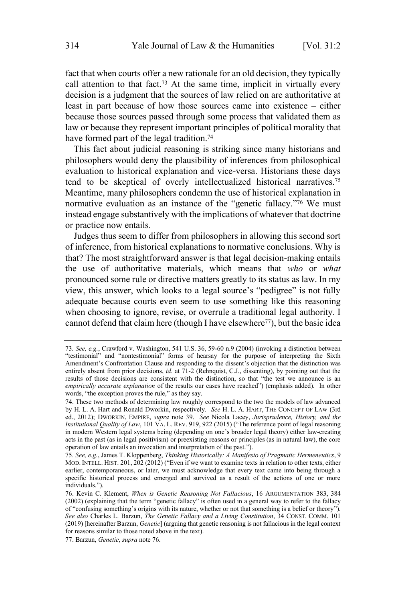fact that when courts offer a new rationale for an old decision, they typically call attention to that fact.<sup>73</sup> At the same time, implicit in virtually every decision is a judgment that the sources of law relied on are authoritative at least in part because of how those sources came into existence – either because those sources passed through some process that validated them as law or because they represent important principles of political morality that have formed part of the legal tradition.<sup>74</sup>

This fact about judicial reasoning is striking since many historians and philosophers would deny the plausibility of inferences from philosophical evaluation to historical explanation and vice-versa. Historians these days tend to be skeptical of overly intellectualized historical narratives.<sup>75</sup> Meantime, many philosophers condemn the use of historical explanation in normative evaluation as an instance of the "genetic fallacy."<sup>76</sup> We must instead engage substantively with the implications of whatever that doctrine or practice now entails.

Judges thus seem to differ from philosophers in allowing this second sort of inference, from historical explanations to normative conclusions. Why is that? The most straightforward answer is that legal decision-making entails the use of authoritative materials, which means that *who* or *what* pronounced some rule or directive matters greatly to its status as law. In my view, this answer, which looks to a legal source's "pedigree" is not fully adequate because courts even seem to use something like this reasoning when choosing to ignore, revise, or overrule a traditional legal authority. I cannot defend that claim here (though I have elsewhere <sup>77</sup>), but the basic idea

<sup>73</sup>*. See, e.g.*, Crawford v. Washington, 541 U.S. 36, 59-60 n.9 (2004) (invoking a distinction between "testimonial" and "nontestimonial" forms of hearsay for the purpose of interpreting the Sixth Amendment's Confrontation Clause and responding to the dissent's objection that the distinction was entirely absent from prior decisions, *id.* at 71-2 (Rehnquist, C.J., dissenting), by pointing out that the results of those decisions are consistent with the distinction, so that "the test we announce is an *empirically accurate explanation* of the results our cases have reached") (emphasis added). In other words, "the exception proves the rule," as they say.

<sup>74.</sup> These two methods of determining law roughly correspond to the two the models of law advanced by H. L. A. Hart and Ronald Dworkin, respectively. *See* H. L. A. HART, THE CONCEPT OF LAW (3rd ed., 2012); DWORKIN, EMPIRE, *supra* note 39. *See* Nicola Lacey, *Jurisprudence, History, and the Institutional Quality of Law*, 101 VA. L. REV. 919, 922 (2015) ("The reference point of legal reasoning in modern Western legal systems being (depending on one's broader legal theory) either law-creating acts in the past (as in legal positivism) or preexisting reasons or principles (as in natural law), the core operation of law entails an invocation and interpretation of the past.").

<sup>75</sup>*. See, e.g.*, James T. Kloppenberg, *Thinking Historically: A Manifesto of Pragmatic Hermeneutics*, 9 MOD. INTELL. HIST. 201, 202 (2012) ("Even if we want to examine texts in relation to other texts, either earlier, contemporaneous, or later, we must acknowledge that every text came into being through a specific historical process and emerged and survived as a result of the actions of one or more individuals.").

<sup>76.</sup> Kevin C. Klement, *When is Genetic Reasoning Not Fallacious*, 16 ARGUMENTATION 383, 384 (2002) (explaining that the term "genetic fallacy" is often used in a general way to refer to the fallacy of "confusing something's origins with its nature, whether or not that something is a belief or theory"). *See also* Charles L. Barzun, *The Genetic Fallacy and a Living Constitution*, 34 CONST. COMM. 101 (2019) [hereinafter Barzun, *Genetic*] (arguing that genetic reasoning is not fallacious in the legal context for reasons similar to those noted above in the text).

<sup>77.</sup> Barzun, *Genetic*, *supra* note 76.